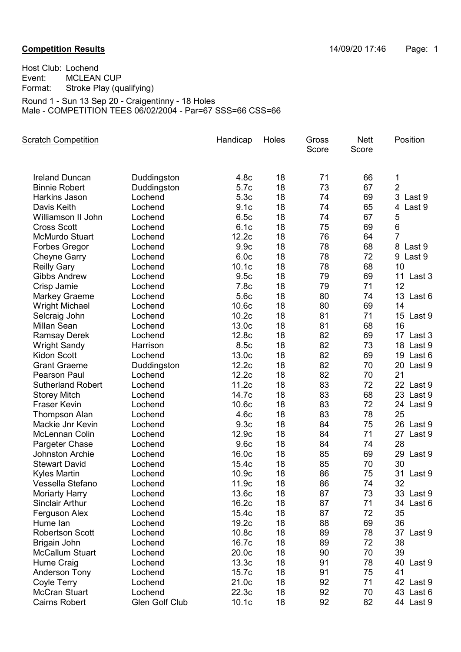## **Competition Results Competition Results 14/09/20 17:46** Page: 1

Host Club: Lochend<br>Event: MCLEAN Event: MCLEAN CUP<br>Format: Stroke Play (qu Stroke Play (qualifying) Round 1 - Sun 13 Sep 20 - Craigentinny - 18 Holes

Male - COMPETITION TEES 06/02/2004 - Par=67 SSS=66 CSS=66

| <b>Scratch Competition</b> |                | Handicap         | Holes | Gross<br>Score | <b>Nett</b><br>Score | Position       |
|----------------------------|----------------|------------------|-------|----------------|----------------------|----------------|
| <b>Ireland Duncan</b>      | Duddingston    | 4.8 <sub>c</sub> | 18    | 71             | 66                   | 1              |
| <b>Binnie Robert</b>       | Duddingston    | 5.7c             | 18    | 73             | 67                   | $\overline{2}$ |
| Harkins Jason              | Lochend        | 5.3c             | 18    | 74             | 69                   | 3 Last 9       |
| Davis Keith                | Lochend        | 9.1c             | 18    | 74             | 65                   | 4 Last 9       |
| Williamson II John         | Lochend        | 6.5c             | 18    | 74             | 67                   | 5              |
| <b>Cross Scott</b>         | Lochend        | 6.1c             | 18    | 75             | 69                   | 6              |
| <b>McMurdo Stuart</b>      | Lochend        | 12.2c            | 18    | 76             | 64                   | $\overline{7}$ |
| Forbes Gregor              | Lochend        | 9.9c             | 18    | 78             | 68                   | 8 Last 9       |
| <b>Cheyne Garry</b>        | Lochend        | 6.0c             | 18    | 78             | 72                   | 9 Last 9       |
| <b>Reilly Gary</b>         | Lochend        | 10.1c            | 18    | 78             | 68                   | 10             |
| <b>Gibbs Andrew</b>        | Lochend        | 9.5c             | 18    | 79             | 69                   | 11 Last 3      |
| Crisp Jamie                | Lochend        | 7.8c             | 18    | 79             | 71                   | 12             |
| <b>Markey Graeme</b>       | Lochend        | 5.6c             | 18    | 80             | 74                   | 13 Last 6      |
| <b>Wright Michael</b>      | Lochend        | 10.6c            | 18    | 80             | 69                   | 14             |
| Selcraig John              | Lochend        | 10.2c            | 18    | 81             | 71                   | 15 Last 9      |
| <b>Millan Sean</b>         | Lochend        | 13.0c            | 18    | 81             | 68                   | 16             |
| <b>Ramsay Derek</b>        | Lochend        | 12.8c            | 18    | 82             | 69                   | 17 Last 3      |
| <b>Wright Sandy</b>        | Harrison       | 8.5c             | 18    | 82             | 73                   | 18 Last 9      |
| <b>Kidon Scott</b>         | Lochend        | 13.0c            | 18    | 82             | 69                   | 19 Last 6      |
| <b>Grant Graeme</b>        | Duddingston    | 12.2c            | 18    | 82             | 70                   | 20 Last 9      |
| Pearson Paul               | Lochend        | 12.2c            | 18    | 82             | 70                   | 21             |
| <b>Sutherland Robert</b>   | Lochend        | 11.2c            | 18    | 83             | 72                   | 22 Last 9      |
| <b>Storey Mitch</b>        | Lochend        | 14.7c            | 18    | 83             | 68                   | 23 Last 9      |
| <b>Fraser Kevin</b>        | Lochend        | 10.6c            | 18    | 83             | 72                   | 24 Last 9      |
| <b>Thompson Alan</b>       | Lochend        | 4.6c             | 18    | 83             | 78                   | 25             |
| Mackie Jnr Kevin           | Lochend        | 9.3 <sub>c</sub> | 18    | 84             | 75                   | 26 Last 9      |
| McLennan Colin             | Lochend        | 12.9c            | 18    | 84             | 71                   | Last 9<br>27   |
| Pargeter Chase             | Lochend        | 9.6c             | 18    | 84             | 74                   | 28             |
| <b>Johnston Archie</b>     | Lochend        | 16.0c            | 18    | 85             | 69                   | 29 Last 9      |
| <b>Stewart David</b>       | Lochend        | 15.4c            | 18    | 85             | 70                   | 30             |
| <b>Kyles Martin</b>        | Lochend        | 10.9c            | 18    | 86             | 75                   | 31 Last 9      |
| Vessella Stefano           | Lochend        | 11.9c            | 18    | 86             | 74                   | 32             |
| <b>Moriarty Harry</b>      | Lochend        | 13.6c            | 18    | 87             | 73                   | 33 Last 9      |
| <b>Sinclair Arthur</b>     | Lochend        | 16.2c            | 18    | 87             | 71                   | 34 Last 6      |
| Ferguson Alex              | Lochend        | 15.4c            | 18    | 87             | 72                   | 35             |
| Hume lan                   | Lochend        | 19.2c            | 18    | 88             | 69                   | 36             |
| <b>Robertson Scott</b>     | Lochend        | 10.8c            | 18    | 89             | 78                   | 37 Last 9      |
| Brigain John               | Lochend        | 16.7c            | 18    | 89             | 72                   | 38             |
| <b>McCallum Stuart</b>     | Lochend        | 20.0c            | 18    | 90             | 70                   | 39             |
| Hume Craig                 | Lochend        | 13.3c            | 18    | 91             | 78                   | 40 Last 9      |
| <b>Anderson Tony</b>       | Lochend        | 15.7c            | 18    | 91             | 75                   | 41             |
| Coyle Terry                | Lochend        | 21.0c            | 18    | 92             | 71                   | 42 Last 9      |
| <b>McCran Stuart</b>       | Lochend        | 22.3c            | 18    | 92             | 70                   | 43 Last 6      |
| <b>Cairns Robert</b>       | Glen Golf Club | 10.1c            | 18    | 92             | 82                   | 44 Last 9      |